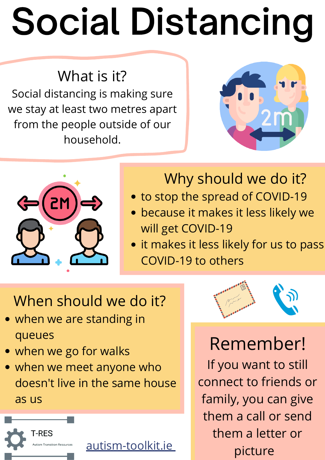What is it? Social distancing is making sure we stay at least two metres apart from the people outside of our household.





## Why should we do it?

- to stop the spread of COVID-19
- because it makes it less likely we will get COVID-19
- **.** it makes it less likely for us to pass

- when we are standing in queues
- when we go for walks
- when we meet anyone who doesn't live in the same house as us



COVID-19 to others

## When should we do it?

Remember! If you want to still connect to friends or family, you can give them a call or send them a letter or picture

## Social Distancing

[autism-toolkit.ie](http://autism-toolkit.ie/)

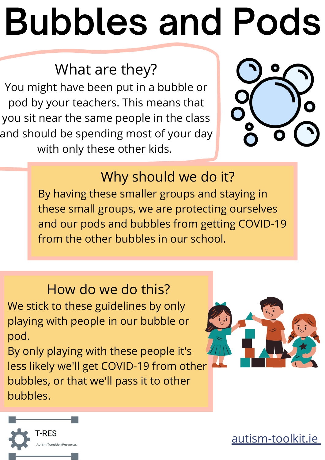### What are they?

You might have been put in a bubble or pod by your teachers. This means that you sit near the same people in the class and should be spending most of your day with only these other kids.



#### Why should we do it?

By having these smaller groups and staying in these small groups, we are protecting ourselves and our pods and bubbles from getting COVID-19 from the other bubbles in our school.

How do we do this? We stick to these guidelines by only playing with people in our bubble or pod.

By only playing with these people it's less likely we'll get COVID-19 from other bubbles, or that we'll pass it to other bubbles.





## Bubbles and Pods

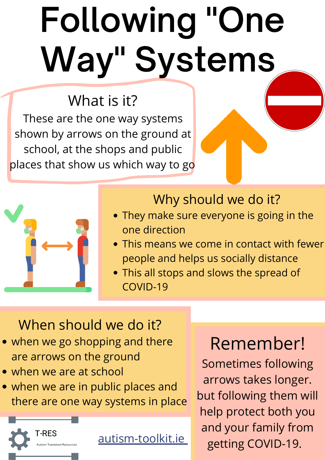Why should we do it?

- They make sure everyone is going in the one direction
- This means we come in contact with fewer
- people and helps us socially distance
- This all stops and slows the spread of COVID-19

- when we go shopping and there are arrows on the ground
- when we are at school
- when we are in public places and there are one way systems in place

What is it? These are the one way systems shown by arrows on the ground at school, at the shops and public places that show us which way to go



When should we do it?

## Following "One Way" Systems

Remember! Sometimes following arrows takes longer. but following them will help protect both you and your family from getting COVID-19.

[autism-toolkit.ie](http://autism-toolkit.ie/)